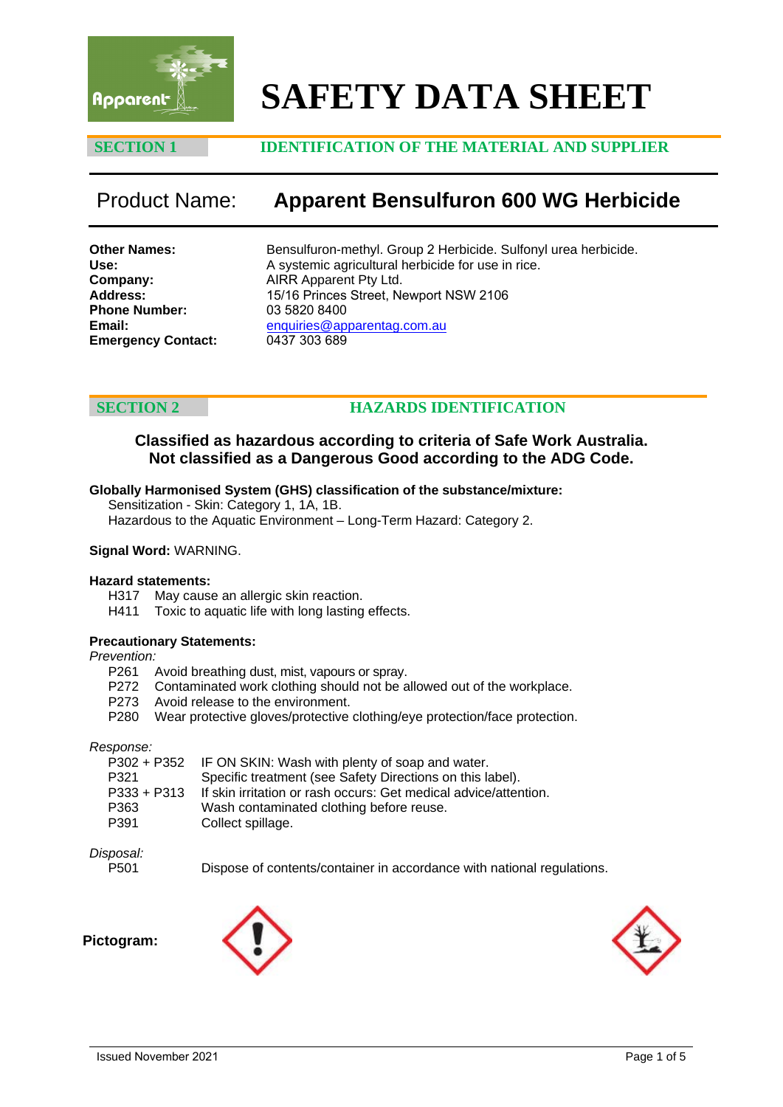

# **SAFETY DATA SHEET**

# **SECTION 1 IDENTIFICATION OF THE MATERIAL AND SUPPLIER**

# Product Name: **Apparent Bensulfuron 600 WG Herbicide**

**Other Names: Use: Company: Address: Phone Number: Email: Emergency Contact:** Bensulfuron-methyl. Group 2 Herbicide. Sulfonyl urea herbicide. A systemic agricultural herbicide for use in rice. AIRR Apparent Pty Ltd. 15/16 Princes Street, Newport NSW 2106 03 5820 8400 enquiries@apparentag.com.au 0437 303 689

# **SECTION 2 HAZARDS IDENTIFICATION**

# **Classified as hazardous according to criteria of Safe Work Australia. Not classified as a Dangerous Good according to the ADG Code.**

### **Globally Harmonised System (GHS) classification of the substance/mixture:**

Sensitization - Skin: Category 1, 1A, 1B.

Hazardous to the Aquatic Environment – Long-Term Hazard: Category 2.

#### **Signal Word:** WARNING.

#### **Hazard statements:**

- H317 May cause an allergic skin reaction.
- H411 Toxic to aquatic life with long lasting effects.

#### **Precautionary Statements:**

*Prevention:* 

- P261 Avoid breathing dust, mist, vapours or spray.
- P272 Contaminated work clothing should not be allowed out of the workplace.
- P273 Avoid release to the environment.
- P280 Wear protective gloves/protective clothing/eye protection/face protection.

#### *Response:*

| P302 + P352 IF ON SKIN: Wash with plenty of soap and water.      |
|------------------------------------------------------------------|
| Specific treatment (see Safety Directions on this label).        |
| If skin irritation or rash occurs: Get medical advice/attention. |
| Wash contaminated clothing before reuse.                         |
| Collect spillage.                                                |
|                                                                  |

#### *Disposal:*

P501 Dispose of contents/container in accordance with national regulations.

**Pictogram:**



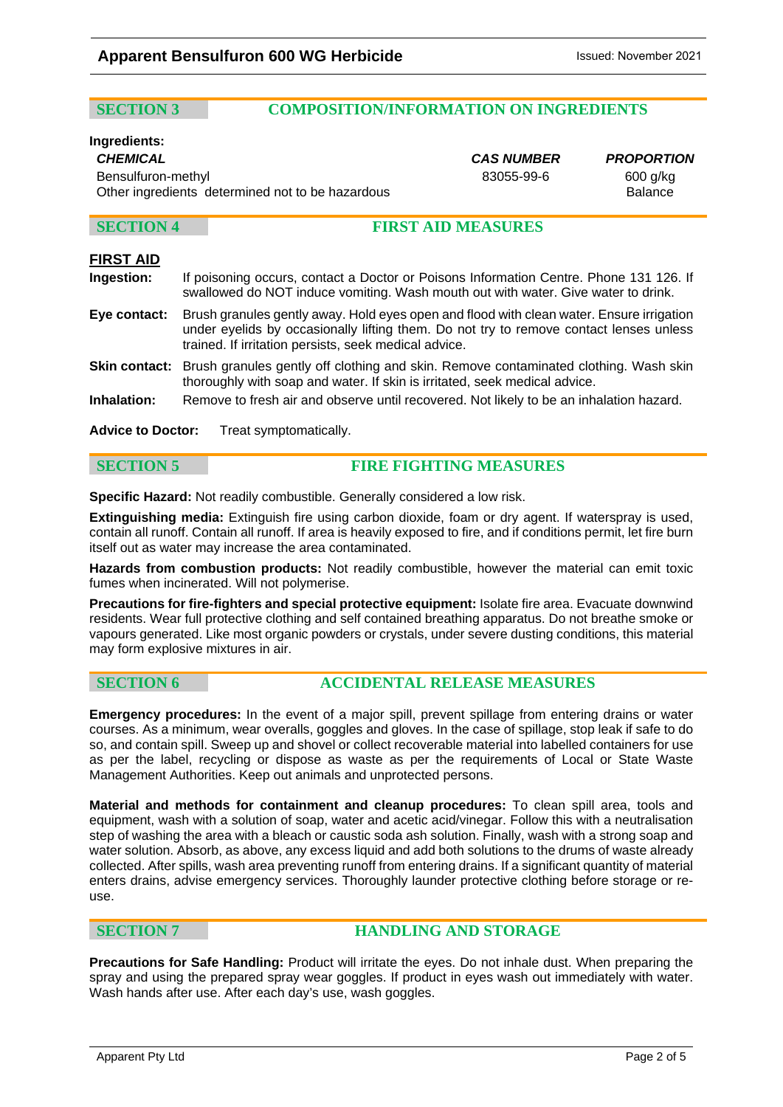# **SECTION 3 COMPOSITION/INFORMATION ON INGREDIENTS**

### **Ingredients:**

*CHEMICAL CAS NUMBER PROPORTION* Bensulfuron-methyl and the state of the state of the 83055-99-6 600 g/kg Other ingredients determined not to be hazardous **Balance** Balance

### **SECTION 4 FIRST AID MEASURES**

### **FIRST AID**

- **Ingestion:** If poisoning occurs, contact a Doctor or Poisons Information Centre. Phone 131 126. If swallowed do NOT induce vomiting. Wash mouth out with water. Give water to drink.
- **Eye contact:** Brush granules gently away. Hold eyes open and flood with clean water. Ensure irrigation under eyelids by occasionally lifting them. Do not try to remove contact lenses unless trained. If irritation persists, seek medical advice.
- **Skin contact:** Brush granules gently off clothing and skin. Remove contaminated clothing. Wash skin thoroughly with soap and water. If skin is irritated, seek medical advice.
- **Inhalation:** Remove to fresh air and observe until recovered. Not likely to be an inhalation hazard.
- **Advice to Doctor:** Treat symptomatically.

### **SECTION 5 FIRE FIGHTING MEASURES**

**Specific Hazard:** Not readily combustible. Generally considered a low risk.

**Extinguishing media:** Extinguish fire using carbon dioxide, foam or dry agent. If waterspray is used, contain all runoff. Contain all runoff. If area is heavily exposed to fire, and if conditions permit, let fire burn itself out as water may increase the area contaminated.

**Hazards from combustion products:** Not readily combustible, however the material can emit toxic fumes when incinerated. Will not polymerise.

**Precautions for fire-fighters and special protective equipment:** Isolate fire area. Evacuate downwind residents. Wear full protective clothing and self contained breathing apparatus. Do not breathe smoke or vapours generated. Like most organic powders or crystals, under severe dusting conditions, this material may form explosive mixtures in air.

### **SECTION 6 ACCIDENTAL RELEASE MEASURES**

**Emergency procedures:** In the event of a major spill, prevent spillage from entering drains or water courses. As a minimum, wear overalls, goggles and gloves. In the case of spillage, stop leak if safe to do so, and contain spill. Sweep up and shovel or collect recoverable material into labelled containers for use as per the label, recycling or dispose as waste as per the requirements of Local or State Waste Management Authorities. Keep out animals and unprotected persons.

**Material and methods for containment and cleanup procedures:** To clean spill area, tools and equipment, wash with a solution of soap, water and acetic acid/vinegar. Follow this with a neutralisation step of washing the area with a bleach or caustic soda ash solution. Finally, wash with a strong soap and water solution. Absorb, as above, any excess liquid and add both solutions to the drums of waste already collected. After spills, wash area preventing runoff from entering drains. If a significant quantity of material enters drains, advise emergency services. Thoroughly launder protective clothing before storage or reuse.

### **SECTION 7 HANDLING AND STORAGE**

**Precautions for Safe Handling:** Product will irritate the eyes. Do not inhale dust. When preparing the spray and using the prepared spray wear goggles. If product in eyes wash out immediately with water. Wash hands after use. After each day's use, wash goggles.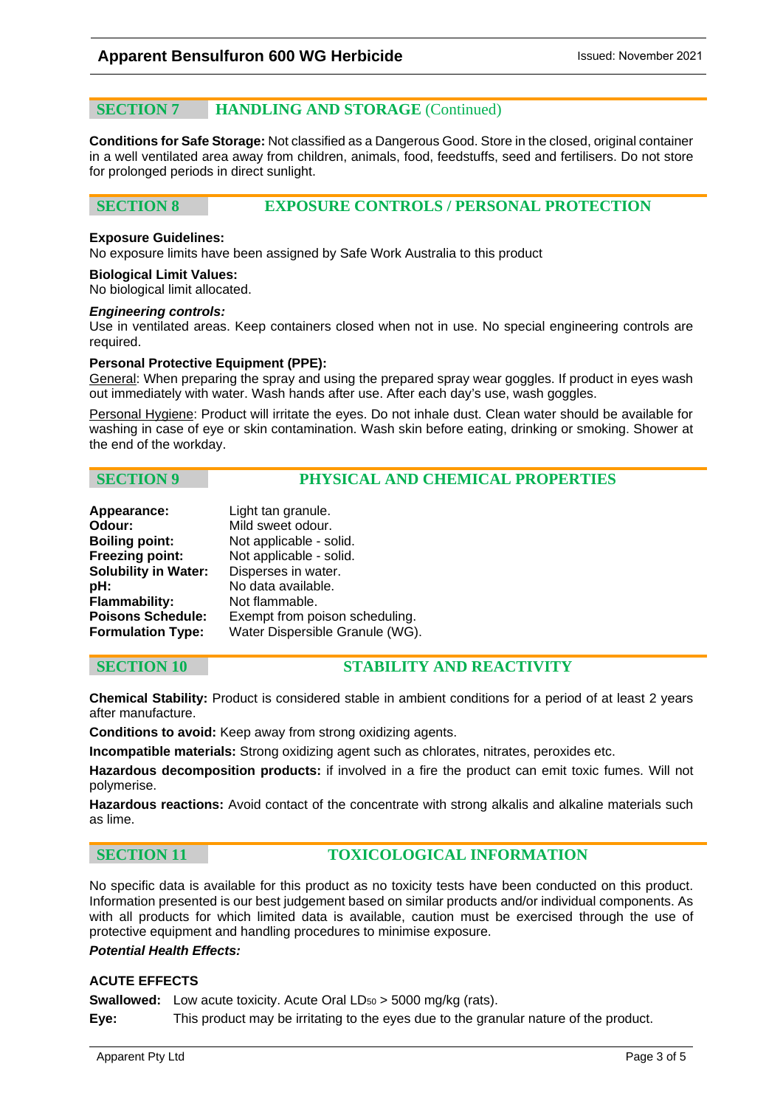# **SECTION 7** HANDLING AND STORAGE (Continued)

**Conditions for Safe Storage:** Not classified as a Dangerous Good. Store in the closed, original container in a well ventilated area away from children, animals, food, feedstuffs, seed and fertilisers. Do not store for prolonged periods in direct sunlight.

# **SECTION 8 EXPOSURE CONTROLS / PERSONAL PROTECTION**

#### **Exposure Guidelines:**

No exposure limits have been assigned by Safe Work Australia to this product

**Biological Limit Values:** 

No biological limit allocated.

#### *Engineering controls:*

Use in ventilated areas. Keep containers closed when not in use. No special engineering controls are required.

#### **Personal Protective Equipment (PPE):**

General: When preparing the spray and using the prepared spray wear goggles. If product in eyes wash out immediately with water. Wash hands after use. After each day's use, wash goggles.

Personal Hygiene: Product will irritate the eyes. Do not inhale dust. Clean water should be available for washing in case of eye or skin contamination. Wash skin before eating, drinking or smoking. Shower at the end of the workday.

### **SECTION 9 PHYSICAL AND CHEMICAL PROPERTIES**

| Appearance:                 | Light tan granule.              |
|-----------------------------|---------------------------------|
| Odour:                      | Mild sweet odour.               |
| <b>Boiling point:</b>       | Not applicable - solid.         |
| <b>Freezing point:</b>      | Not applicable - solid.         |
| <b>Solubility in Water:</b> | Disperses in water.             |
| pH:                         | No data available.              |
| Flammability:               | Not flammable.                  |
| <b>Poisons Schedule:</b>    | Exempt from poison scheduling.  |
| <b>Formulation Type:</b>    | Water Dispersible Granule (WG). |

### **SECTION 10 STABILITY AND REACTIVITY**

**Chemical Stability:** Product is considered stable in ambient conditions for a period of at least 2 years after manufacture.

**Conditions to avoid:** Keep away from strong oxidizing agents.

**Incompatible materials:** Strong oxidizing agent such as chlorates, nitrates, peroxides etc.

**Hazardous decomposition products:** if involved in a fire the product can emit toxic fumes. Will not polymerise.

**Hazardous reactions:** Avoid contact of the concentrate with strong alkalis and alkaline materials such as lime.

### **SECTION 11 TOXICOLOGICAL INFORMATION**

No specific data is available for this product as no toxicity tests have been conducted on this product. Information presented is our best judgement based on similar products and/or individual components. As with all products for which limited data is available, caution must be exercised through the use of protective equipment and handling procedures to minimise exposure.

### *Potential Health Effects:*

### **ACUTE EFFECTS**

**Swallowed:** Low acute toxicity. Acute Oral LD<sub>50</sub> > 5000 mg/kg (rats).

**Eye:** This product may be irritating to the eyes due to the granular nature of the product.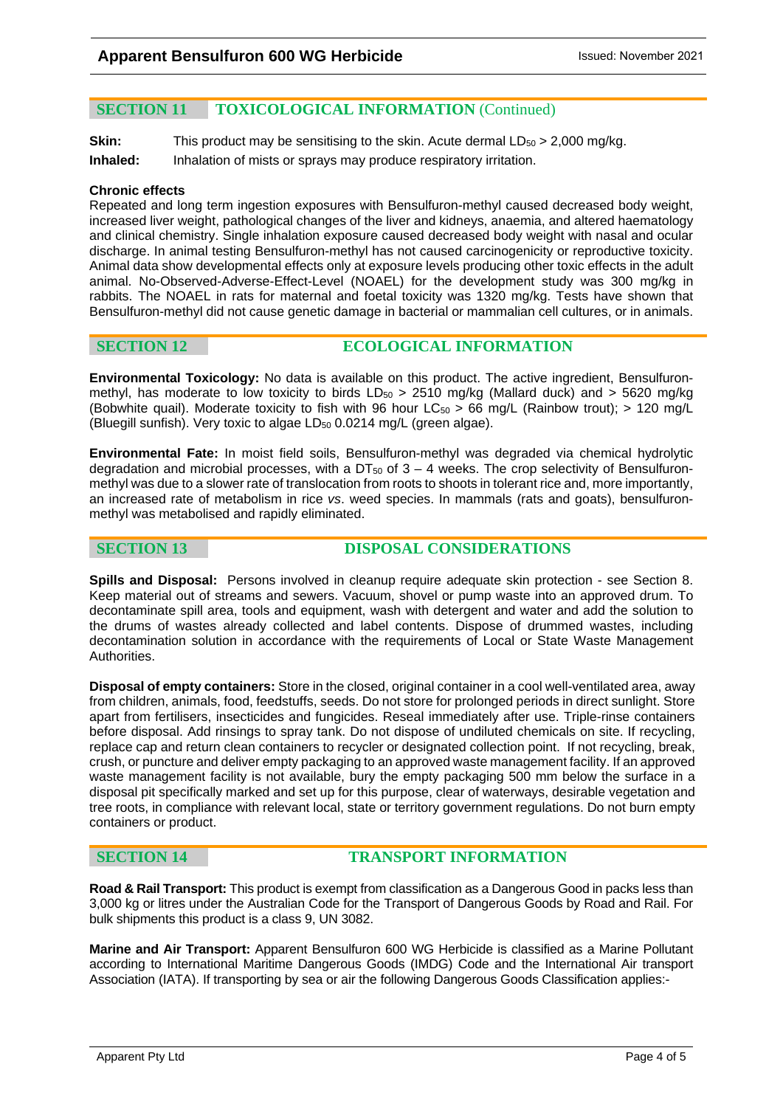# **SECTION 11 TOXICOLOGICAL INFORMATION** (Continued)

**Skin:** This product may be sensitising to the skin. Acute dermal LD<sub>50</sub> > 2,000 mg/kg. **Inhaled:** Inhalation of mists or sprays may produce respiratory irritation.

#### **Chronic effects**

Repeated and long term ingestion exposures with Bensulfuron-methyl caused decreased body weight, increased liver weight, pathological changes of the liver and kidneys, anaemia, and altered haematology and clinical chemistry. Single inhalation exposure caused decreased body weight with nasal and ocular discharge. In animal testing Bensulfuron-methyl has not caused carcinogenicity or reproductive toxicity. Animal data show developmental effects only at exposure levels producing other toxic effects in the adult animal. No-Observed-Adverse-Effect-Level (NOAEL) for the development study was 300 mg/kg in rabbits. The NOAEL in rats for maternal and foetal toxicity was 1320 mg/kg. Tests have shown that Bensulfuron-methyl did not cause genetic damage in bacterial or mammalian cell cultures, or in animals.

### **SECTION 12 ECOLOGICAL INFORMATION**

**Environmental Toxicology:** No data is available on this product. The active ingredient, Bensulfuronmethyl, has moderate to low toxicity to birds  $LD_{50} > 2510$  mg/kg (Mallard duck) and  $> 5620$  mg/kg (Bobwhite quail). Moderate toxicity to fish with 96 hour  $LC_{50} > 66$  mg/L (Rainbow trout);  $> 120$  mg/L (Bluegill sunfish). Very toxic to algae LD<sub>50</sub> 0.0214 mg/L (green algae).

**Environmental Fate:** In moist field soils, Bensulfuron-methyl was degraded via chemical hydrolytic degradation and microbial processes, with a DT $_{50}$  of  $3 - 4$  weeks. The crop selectivity of Bensulfuronmethyl was due to a slower rate of translocation from roots to shoots in tolerant rice and, more importantly, an increased rate of metabolism in rice *vs*. weed species. In mammals (rats and goats), bensulfuronmethyl was metabolised and rapidly eliminated.

# **SECTION 13** DISPOSAL CONSIDERATIONS

**Spills and Disposal:** Persons involved in cleanup require adequate skin protection - see Section 8. Keep material out of streams and sewers. Vacuum, shovel or pump waste into an approved drum. To decontaminate spill area, tools and equipment, wash with detergent and water and add the solution to the drums of wastes already collected and label contents. Dispose of drummed wastes, including decontamination solution in accordance with the requirements of Local or State Waste Management Authorities.

**Disposal of empty containers:** Store in the closed, original container in a cool well-ventilated area, away from children, animals, food, feedstuffs, seeds. Do not store for prolonged periods in direct sunlight. Store apart from fertilisers, insecticides and fungicides. Reseal immediately after use. Triple-rinse containers before disposal. Add rinsings to spray tank. Do not dispose of undiluted chemicals on site. If recycling, replace cap and return clean containers to recycler or designated collection point. If not recycling, break, crush, or puncture and deliver empty packaging to an approved waste management facility. If an approved waste management facility is not available, bury the empty packaging 500 mm below the surface in a disposal pit specifically marked and set up for this purpose, clear of waterways, desirable vegetation and tree roots, in compliance with relevant local, state or territory government regulations. Do not burn empty containers or product.

### **SECTION 14 TRANSPORT INFORMATION**

**Road & Rail Transport:** This product is exempt from classification as a Dangerous Good in packs less than 3,000 kg or litres under the Australian Code for the Transport of Dangerous Goods by Road and Rail. For bulk shipments this product is a class 9, UN 3082.

**Marine and Air Transport:** Apparent Bensulfuron 600 WG Herbicide is classified as a Marine Pollutant according to International Maritime Dangerous Goods (IMDG) Code and the International Air transport Association (IATA). If transporting by sea or air the following Dangerous Goods Classification applies:-